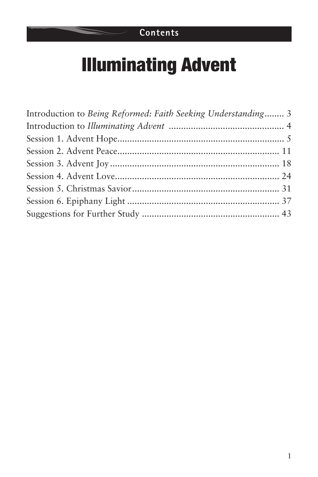## **Contents**

# Illuminating Advent

| Introduction to Being Reformed: Faith Seeking Understanding 3 |  |
|---------------------------------------------------------------|--|
|                                                               |  |
|                                                               |  |
|                                                               |  |
|                                                               |  |
|                                                               |  |
|                                                               |  |
|                                                               |  |
|                                                               |  |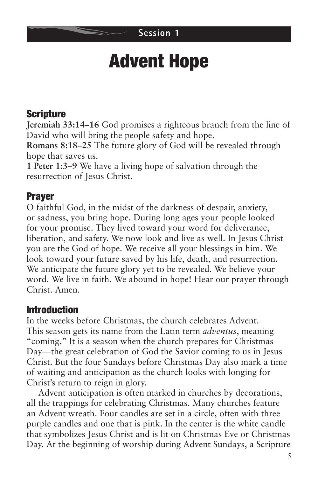#### **Session 1**

# Advent Hope

## Scripture

**Jeremiah 33:14–16** God promises a righteous branch from the line of David who will bring the people safety and hope.

**Romans 8:18–25** The future glory of God will be revealed through hope that saves us.

**1 Peter 1:3–9** We have a living hope of salvation through the resurrection of Jesus Christ.

## Prayer

O faithful God, in the midst of the darkness of despair, anxiety, or sadness, you bring hope. During long ages your people looked for your promise. They lived toward your word for deliverance, liberation, and safety. We now look and live as well. In Jesus Christ you are the God of hope. We receive all your blessings in him. We look toward your future saved by his life, death, and resurrection. We anticipate the future glory yet to be revealed. We believe your word. We live in faith. We abound in hope! Hear our prayer through Christ. Amen.

### Introduction

In the weeks before Christmas, the church celebrates Advent. This season gets its name from the Latin term *adventus*, meaning "coming." It is a season when the church prepares for Christmas Day—the great celebration of God the Savior coming to us in Jesus Christ. But the four Sundays before Christmas Day also mark a time of waiting and anticipation as the church looks with longing for Christ's return to reign in glory.

Advent anticipation is often marked in churches by decorations, all the trappings for celebrating Christmas. Many churches feature an Advent wreath. Four candles are set in a circle, often with three purple candles and one that is pink. In the center is the white candle that symbolizes Jesus Christ and is lit on Christmas Eve or Christmas Day. At the beginning of worship during Advent Sundays, a Scripture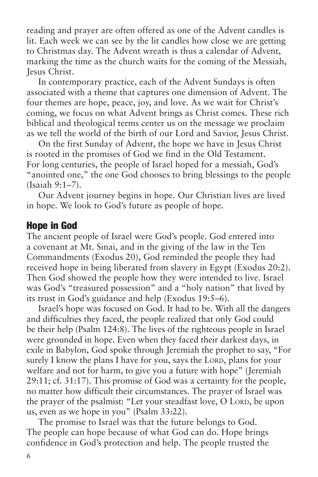reading and prayer are often offered as one of the Advent candles is lit. Each week we can see by the lit candles how close we are getting to Christmas day. The Advent wreath is thus a calendar of Advent, marking the time as the church waits for the coming of the Messiah, Jesus Christ.

In contemporary practice, each of the Advent Sundays is often associated with a theme that captures one dimension of Advent. The four themes are hope, peace, joy, and love. As we wait for Christ's coming, we focus on what Advent brings as Christ comes. These rich biblical and theological terms center us on the message we proclaim as we tell the world of the birth of our Lord and Savior, Jesus Christ.

On the first Sunday of Advent, the hope we have in Jesus Christ is rooted in the promises of God we find in the Old Testament. For long centuries, the people of Israel hoped for a messiah, God's "anointed one," the one God chooses to bring blessings to the people (Isaiah 9:1–7).

Our Advent journey begins in hope. Our Christian lives are lived in hope. We look to God's future as people of hope.

#### Hope in God

The ancient people of Israel were God's people. God entered into a covenant at Mt. Sinai, and in the giving of the law in the Ten Commandments (Exodus 20), God reminded the people they had received hope in being liberated from slavery in Egypt (Exodus 20:2). Then God showed the people how they were intended to live. Israel was God's "treasured possession" and a "holy nation" that lived by its trust in God's guidance and help (Exodus 19:5–6).

Israel's hope was focused on God. It had to be. With all the dangers and difficulties they faced, the people realized that only God could be their help (Psalm 124:8). The lives of the righteous people in Israel were grounded in hope. Even when they faced their darkest days, in exile in Babylon, God spoke through Jeremiah the prophet to say, "For surely I know the plans I have for you, says the LORD, plans for your welfare and not for harm, to give you a future with hope" (Jeremiah 29:11; cf. 31:17). This promise of God was a certainty for the people, no matter how difficult their circumstances. The prayer of Israel was the prayer of the psalmist: "Let your steadfast love, O LORD, be upon us, even as we hope in you" (Psalm 33:22).

The promise to Israel was that the future belongs to God. The people can hope because of what God can do. Hope brings confidence in God's protection and help. The people trusted the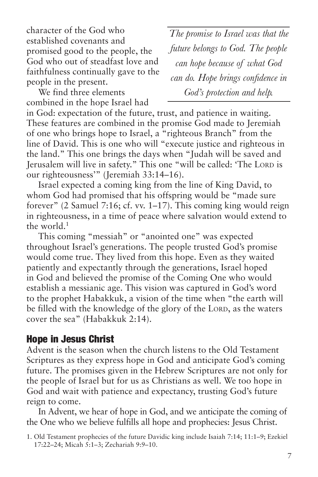character of the God who established covenants and promised good to the people, the God who out of steadfast love and faithfulness continually gave to the people in the present.

*The promise to Israel was that the future belongs to God. The people can hope because of what God can do. Hope brings confidence in God's protection and help.*

We find three elements combined in the hope Israel had

in God: expectation of the future, trust, and patience in waiting. These features are combined in the promise God made to Jeremiah of one who brings hope to Israel, a "righteous Branch" from the line of David. This is one who will "execute justice and righteous in the land." This one brings the days when "Judah will be saved and Jerusalem will live in safety." This one "will be called: 'The LORD is our righteousness'" (Jeremiah 33:14–16).

Israel expected a coming king from the line of King David, to whom God had promised that his offspring would be "made sure forever" (2 Samuel 7:16; cf. vv. 1–17). This coming king would reign in righteousness, in a time of peace where salvation would extend to the world. $1$ 

This coming "messiah" or "anointed one" was expected throughout Israel's generations. The people trusted God's promise would come true. They lived from this hope. Even as they waited patiently and expectantly through the generations, Israel hoped in God and believed the promise of the Coming One who would establish a messianic age. This vision was captured in God's word to the prophet Habakkuk, a vision of the time when "the earth will be filled with the knowledge of the glory of the LORD, as the waters cover the sea" (Habakkuk 2:14).

#### Hope in Jesus Christ

Advent is the season when the church listens to the Old Testament Scriptures as they express hope in God and anticipate God's coming future. The promises given in the Hebrew Scriptures are not only for the people of Israel but for us as Christians as well. We too hope in God and wait with patience and expectancy, trusting God's future reign to come.

In Advent, we hear of hope in God, and we anticipate the coming of the One who we believe fulfills all hope and prophecies: Jesus Christ.

<sup>1.</sup> Old Testament prophecies of the future Davidic king include Isaiah 7:14; 11:1–9; Ezekiel 17:22–24; Micah 5:1–3; Zechariah 9:9–10.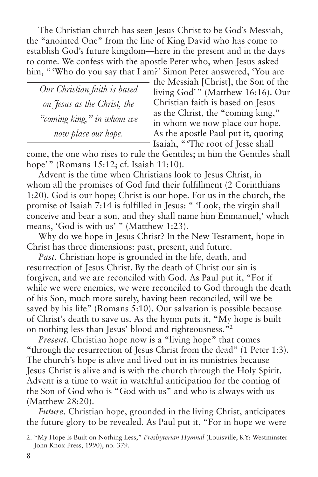The Christian church has seen Jesus Christ to be God's Messiah, the "anointed One" from the line of King David who has come to establish God's future kingdom—here in the present and in the days to come. We confess with the apostle Peter who, when Jesus asked him, "Who do you say that I am?' Simon Peter answered, 'You are

*Our Christian faith is based on Jesus as the Christ, the "coming king," in whom we now place our hope.*

the Messiah [Christ], the Son of the living God'" (Matthew 16:16). Our Christian faith is based on Jesus as the Christ, the "coming king," in whom we now place our hope. As the apostle Paul put it, quoting Isaiah, "'The root of Jesse shall

come, the one who rises to rule the Gentiles; in him the Gentiles shall hope'" (Romans 15:12; cf. Isaiah 11:10).

Advent is the time when Christians look to Jesus Christ, in whom all the promises of God find their fulfillment (2 Corinthians 1:20). God is our hope; Christ is our hope. For us in the church, the promise of Isaiah 7:14 is fulfilled in Jesus: " 'Look, the virgin shall conceive and bear a son, and they shall name him Emmanuel,' which means, 'God is with us' " (Matthew 1:23).

Why do we hope in Jesus Christ? In the New Testament, hope in Christ has three dimensions: past, present, and future.

*Past.* Christian hope is grounded in the life, death, and resurrection of Jesus Christ. By the death of Christ our sin is forgiven, and we are reconciled with God. As Paul put it, "For if while we were enemies, we were reconciled to God through the death of his Son, much more surely, having been reconciled, will we be saved by his life" (Romans 5:10). Our salvation is possible because of Christ's death to save us. As the hymn puts it, "My hope is built on nothing less than Jesus' blood and righteousness."2

*Present.* Christian hope now is a "living hope" that comes "through the resurrection of Jesus Christ from the dead" (1 Peter 1:3). The church's hope is alive and lived out in its ministries because Jesus Christ is alive and is with the church through the Holy Spirit. Advent is a time to wait in watchful anticipation for the coming of the Son of God who is "God with us" and who is always with us (Matthew 28:20).

*Future.* Christian hope, grounded in the living Christ, anticipates the future glory to be revealed. As Paul put it, "For in hope we were

<sup>2. &</sup>quot;My Hope Is Built on Nothing Less," *Presbyterian Hymnal* (Louisville, KY: Westminster John Knox Press, 1990), no. 379.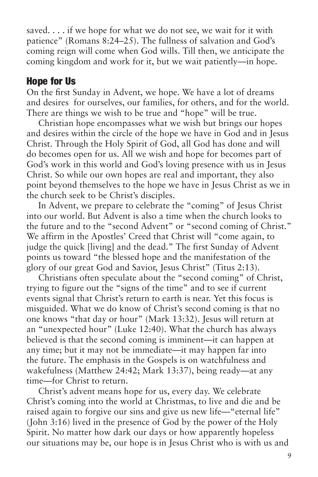saved. . . . if we hope for what we do not see, we wait for it with patience" (Romans 8:24–25). The fullness of salvation and God's coming reign will come when God wills. Till then, we anticipate the coming kingdom and work for it, but we wait patiently—in hope.

#### Hope for Us

On the first Sunday in Advent, we hope. We have a lot of dreams and desires for ourselves, our families, for others, and for the world. There are things we wish to be true and "hope" will be true.

Christian hope encompasses what we wish but brings our hopes and desires within the circle of the hope we have in God and in Jesus Christ. Through the Holy Spirit of God, all God has done and will do becomes open for us. All we wish and hope for becomes part of God's work in this world and God's loving presence with us in Jesus Christ. So while our own hopes are real and important, they also point beyond themselves to the hope we have in Jesus Christ as we in the church seek to be Christ's disciples.

In Advent, we prepare to celebrate the "coming" of Jesus Christ into our world. But Advent is also a time when the church looks to the future and to the "second Advent" or "second coming of Christ." We affirm in the Apostles' Creed that Christ will "come again, to judge the quick [living] and the dead." The first Sunday of Advent points us toward "the blessed hope and the manifestation of the glory of our great God and Savior, Jesus Christ" (Titus 2:13).

Christians often speculate about the "second coming" of Christ, trying to figure out the "signs of the time" and to see if current events signal that Christ's return to earth is near. Yet this focus is misguided. What we do know of Christ's second coming is that no one knows "that day or hour" (Mark 13:32). Jesus will return at an "unexpected hour" (Luke 12:40). What the church has always believed is that the second coming is imminent—it can happen at any time; but it may not be immediate—it may happen far into the future. The emphasis in the Gospels is on watchfulness and wakefulness (Matthew 24:42; Mark 13:37), being ready—at any time—for Christ to return.

Christ's advent means hope for us, every day. We celebrate Christ's coming into the world at Christmas, to live and die and be raised again to forgive our sins and give us new life—"eternal life" (John 3:16) lived in the presence of God by the power of the Holy Spirit. No matter how dark our days or how apparently hopeless our situations may be, our hope is in Jesus Christ who is with us and